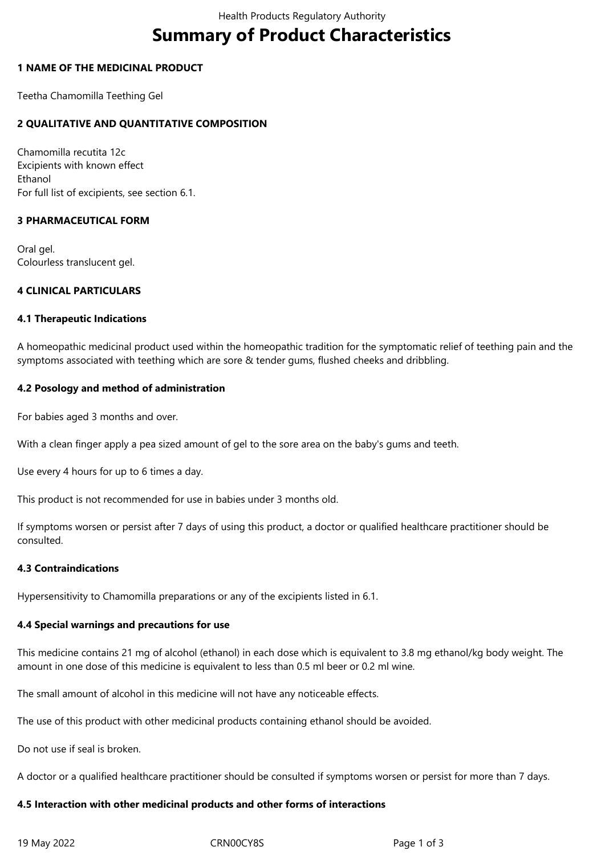# **Summary of Product Characteristics**

#### **1 NAME OF THE MEDICINAL PRODUCT**

Teetha Chamomilla Teething Gel

## **2 QUALITATIVE AND QUANTITATIVE COMPOSITION**

Chamomilla recutita 12c Excipients with known effect Ethanol For full list of excipients, see section 6.1.

## **3 PHARMACEUTICAL FORM**

Oral gel. Colourless translucent gel.

## **4 CLINICAL PARTICULARS**

#### **4.1 Therapeutic Indications**

A homeopathic medicinal product used within the homeopathic tradition for the symptomatic relief of teething pain and the symptoms associated with teething which are sore & tender gums, flushed cheeks and dribbling.

#### **4.2 Posology and method of administration**

For babies aged 3 months and over.

With a clean finger apply a pea sized amount of gel to the sore area on the baby's gums and teeth.

Use every 4 hours for up to 6 times a day.

This product is not recommended for use in babies under 3 months old.

If symptoms worsen or persist after 7 days of using this product, a doctor or qualified healthcare practitioner should be consulted.

#### **4.3 Contraindications**

Hypersensitivity to Chamomilla preparations or any of the excipients listed in 6.1.

#### **4.4 Special warnings and precautions for use**

This medicine contains 21 mg of alcohol (ethanol) in each dose which is equivalent to 3.8 mg ethanol/kg body weight. The amount in one dose of this medicine is equivalent to less than 0.5 ml beer or 0.2 ml wine.

The small amount of alcohol in this medicine will not have any noticeable effects.

The use of this product with other medicinal products containing ethanol should be avoided.

Do not use if seal is broken.

A doctor or a qualified healthcare practitioner should be consulted if symptoms worsen or persist for more than 7 days.

#### **4.5 Interaction with other medicinal products and other forms of interactions**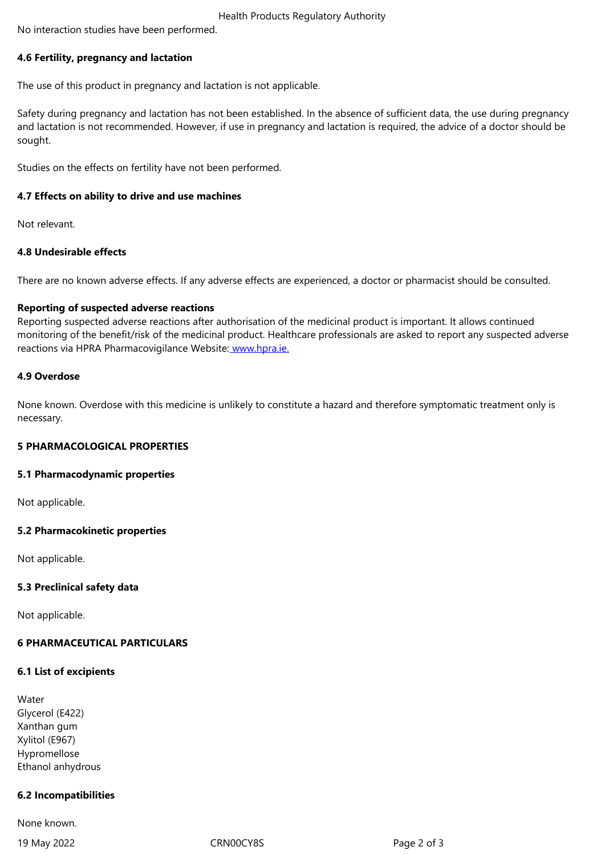#### **4.6 Fertility, pregnancy and lactation**

The use of this product in pregnancy and lactation is not applicable.

Safety during pregnancy and lactation has not been established. In the absence of sufficient data, the use during pregnancy and lactation is not recommended. However, if use in pregnancy and lactation is required, the advice of a doctor should be sought.

Studies on the effects on fertility have not been performed.

## **4.7 Effects on ability to drive and use machines**

Not relevant.

## **4.8 Undesirable effects**

There are no known adverse effects. If any adverse effects are experienced, a doctor or pharmacist should be consulted.

## **Reporting of suspected adverse reactions**

Reporting suspected adverse reactions after authorisation of the medicinal product is important. It allows continued monitoring of the benefit/risk of the medicinal product. Healthcare professionals are asked to report any suspected adverse reactions via HPRA Pharmacovigilance Website: www.hpra.ie.

## **4.9 Overdose**

None known. Overdose with this medicine is u[nlikely to const](http://www.hpra.ie/)itute a hazard and therefore symptomatic treatment only is necessary.

## **5 PHARMACOLOGICAL PROPERTIES**

#### **5.1 Pharmacodynamic properties**

Not applicable.

## **5.2 Pharmacokinetic properties**

Not applicable.

#### **5.3 Preclinical safety data**

Not applicable.

## **6 PHARMACEUTICAL PARTICULARS**

#### **6.1 List of excipients**

Water Glycerol (E422) Xanthan gum Xylitol (E967) Hypromellose Ethanol anhydrous

#### **6.2 Incompatibilities**

None known.

19 May 2022 CRN00CY8S Page 2 of 3